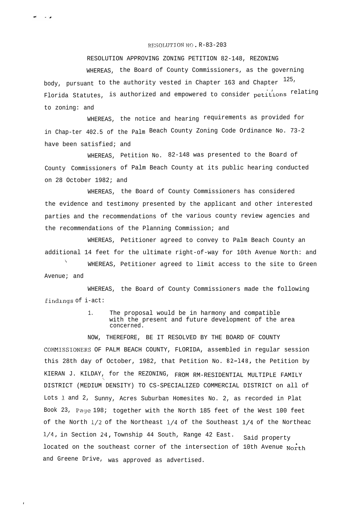## RESOLUTION NO. R-83-203

في س

RESOLUTION APPROVING ZONING PETITION 82-148, REZONING WHEREAS, the Board of County Commissioners, as the governing body, pursuant to the authority vested in Chapter  $163$  and Chapter  $^{125}\cdot$ Florida Statutes, is authorized and empowered to consider petitions <sup>relating</sup> to zoning: and

WHEREAS, the notice and hearing requirements as provided for in Chap-ter 402.5 of the Palm Beach County Zoning Code Ordinance No. 73-2 have been satisfied; and

WHEREAS, Petition No. 82-148 was presented to the Board of County Commissioners of Palm Beach County at its public hearing conducted on 28 October 1982; and

WHEREAS, the Board of County Commissioners has considered the evidence and testimony presented by the applicant and other interested parties and the recommendations of the various county review agencies and the recommendations of the Planning Commission; and

WHEREAS, Petitioner agreed to convey to Palm Beach County an additional 14 feet for the ultimate right-of-way for 10th Avenue North: and

 $\mathcal{L}$ WHEREAS, Petitioner agreed to limit access to the site to Green Avenue; and

WHEREAS, the Board of County Commissioners made the following Eindlngs of i-act:

> 1. The proposal would be in harmony and compatible with the present and future development of the area concerned.

NOW, THEREFORE, BE IT RESOLVED BY THE BOARD OF COUNTY COMMISSIONERS OF PALM BEACH COUNTY, FLORIDA, assembled in regular session this 28th day of October, 1982, that Petition No. 82-148, the Petition by KIERAN J. KILDAY, for the REZONING, FROM RM-RESIDENTIAL MULTIPLE FAMILY DISTRICT (MEDIUM DENSITY) TO CS-SPECIALIZED COMMERCIAL DISTRICT on all of Lots 1 and 2, Sunny, Acres Suburban Homesites No. 2, as recorded in Plat Book 23, Paye 198; together with the North 185 feet of the West 100 feet of the North  $1/2$  of the Northeast  $1/4$  of the Southeast  $1/4$  of the Northeac  $1/4$ , in Section 24, Township 44 South, Range 42 East. Said property located on the southeast corner of the intersection of 10th Avenue North and Greene Drive, was approved as advertised.